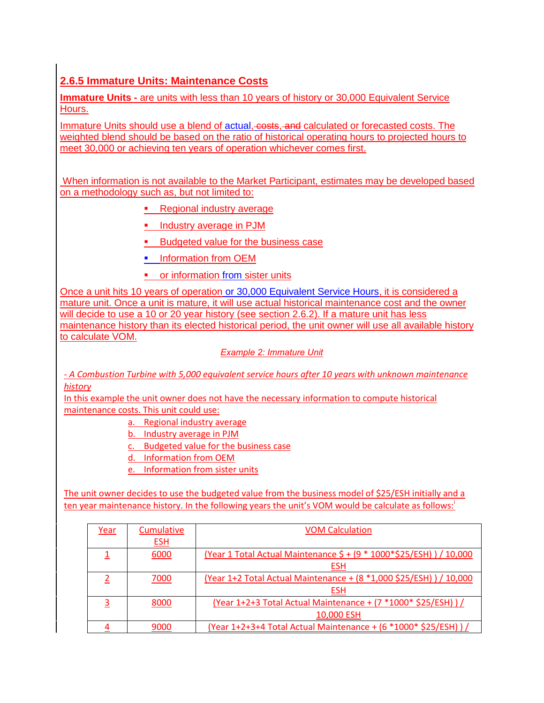# **2.6.5 Immature Units: Maintenance Costs**

**Immature Units -** are units with less than 10 years of history or 30,000 Equivalent Service Hours.

Immature Units should use a blend of actual, costs, and calculated or forecasted costs. The weighted blend should be based on the ratio of historical operating hours to projected hours to meet 30,000 or achieving ten years of operation whichever comes first.

 When information is not available to the Market Participant, estimates may be developed based on a methodology such as, but not limited to:

- Regional industry average
- **Industry average in PJM**
- **Budgeted value for the business case**
- **Information from OEM**
- **•** or information from sister units

Once a unit hits 10 years of operation or 30,000 Equivalent Service Hours, it is considered a mature unit. Once a unit is mature, it will use actual historical maintenance cost and the owner will decide to use a 10 or 20 year history (see section 2.6.2). If a mature unit has less maintenance history than its elected historical period, the unit owner will use all available history to calculate VOM.

### *Example 2: Immature Unit*

*- A Combustion Turbine with 5,000 equivalent service hours after 10 years with unknown maintenance history*

In this example the unit owner does not have the necessary information to compute historical maintenance costs. This unit could use:

a. Regional industry average

b. Industry average in PJM

c. Budgeted value for the business case

- d. Information from OEM
- e. Information from sister units

The unit owner decides to use the budgeted value from the business model of \$25/ESH initially and a ten year maintenance history. In the following years the unit's VOM would be calculate as follows:

| Year | Cumulative | <b>VOM Calculation</b>                                                 |
|------|------------|------------------------------------------------------------------------|
|      | <u>ESH</u> |                                                                        |
|      | 6000       | (Year 1 Total Actual Maintenance \$ + (9 * 1000 * \$25/ESH) ) / 10,000 |
|      |            | <b>ESH</b>                                                             |
|      | 7000       | (Year 1+2 Total Actual Maintenance + (8 *1,000 \$25/ESH) ) / 10,000    |
|      |            | <b>ESH</b>                                                             |
|      | 8000       | (Year 1+2+3 Total Actual Maintenance + (7 *1000* \$25/ESH)) /          |
|      |            | 10,000 ESH                                                             |
|      | 9000       | (Year 1+2+3+4 Total Actual Maintenance + (6 *1000 * \$25/ESH) ) /      |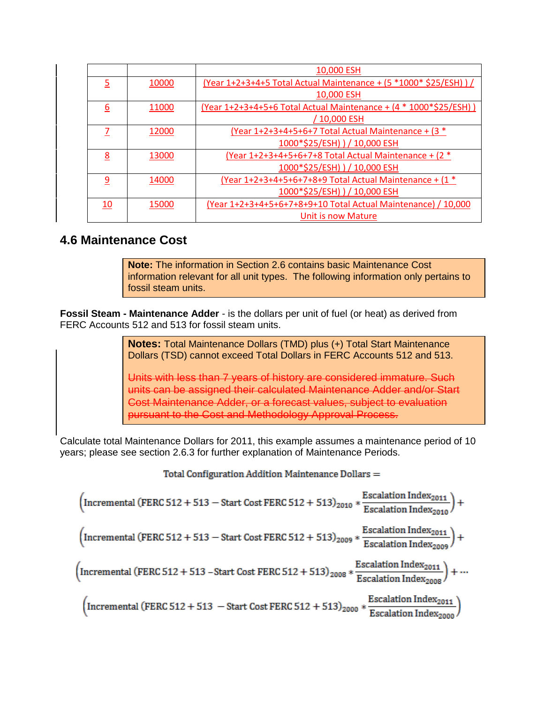|                |       | 10,000 ESH                                                          |
|----------------|-------|---------------------------------------------------------------------|
| $\overline{5}$ | 10000 | (Year 1+2+3+4+5 Total Actual Maintenance + (5 *1000* \$25/ESH) ) /  |
|                |       | 10,000 ESH                                                          |
| 6              | 11000 | (Year 1+2+3+4+5+6 Total Actual Maintenance + (4 * 1000 * \$25/ESH)) |
|                |       | / 10,000 ESH                                                        |
| 7              | 12000 | $Year 1+2+3+4+5+6+7$ Total Actual Maintenance + $(3 *$              |
|                |       | 1000*\$25/ESH) ) / 10,000 ESH                                       |
| 8              | 13000 | (Year 1+2+3+4+5+6+7+8 Total Actual Maintenance + $(2 *$             |
|                |       | 1000*\$25/ESH) ) / 10,000 ESH                                       |
| <u>و</u>       | 14000 | <u> (Year 1+2+3+4+5+6+7+8+9 Total Actual Maintenance + (1 *</u>     |
|                |       | 1000*\$25/ESH) ) / 10,000 ESH                                       |
| <u>10</u>      | 15000 | (Year 1+2+3+4+5+6+7+8+9+10 Total Actual Maintenance) / 10,000       |
|                |       | Unit is now Mature                                                  |

## **4.6 Maintenance Cost**

**Note:** The information in Section 2.6 contains basic Maintenance Cost information relevant for all unit types. The following information only pertains to fossil steam units.

**Fossil Steam - Maintenance Adder** - is the dollars per unit of fuel (or heat) as derived from FERC Accounts 512 and 513 for fossil steam units.

> **Notes:** Total Maintenance Dollars (TMD) plus (+) Total Start Maintenance Dollars (TSD) cannot exceed Total Dollars in FERC Accounts 512 and 513.

Units with less than 7 years of history are considered immature. Such units can be assigned their calculated Maintenance Adder and/or Start Cost Maintenance Adder, or a forecast values, subject to evaluation pursuant to the Cost and Methodology Approval Process.

Calculate total Maintenance Dollars for 2011, this example assumes a maintenance period of 10 years; please see section 2.6.3 for further explanation of Maintenance Periods.

Total Configuration Addition Maintenance Dollars =

$$
\left(\text{Incremental (FERC 512 + 513 - Start Cost FERC 512 + 513)}_{2010} * \frac{\text{Escalation Index}_{2011}}{\text{Escalation Index}_{2010}}\right) +
$$
\n
$$
\left(\text{Incremental (FERC 512 + 513 - Start Cost FERC 512 + 513)}_{2009} * \frac{\text{Escalation Index}_{2011}}{\text{Escalation Index}_{2009}}\right) +
$$
\n
$$
\left(\text{Incremental (FERC 512 + 513 - Start Cost FERC 512 + 513)}_{2008} * \frac{\text{Escalation Index}_{2011}}{\text{Escalation Index}_{2008}}\right) + \dots +
$$
\n
$$
\left(\text{Incremental (FERC 512 + 513 - Start Cost FERC 512 + 513)}_{2000} * \frac{\text{Escalation Index}_{2011}}{\text{Escalation Index}_{2000}}\right)
$$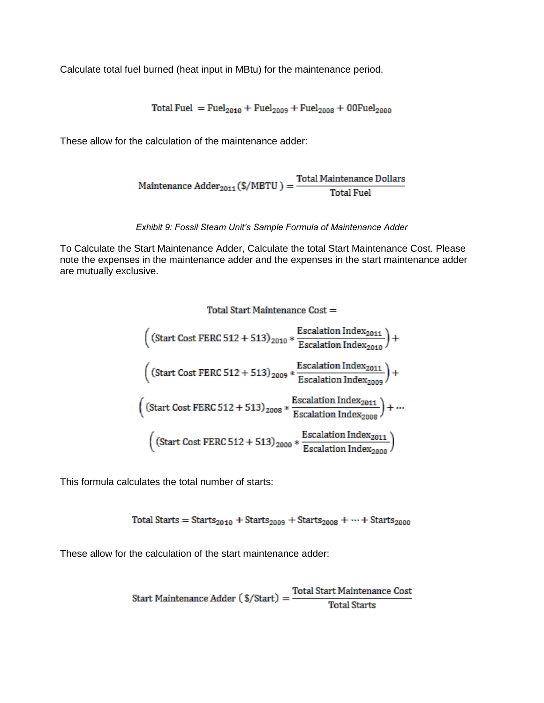Calculate total fuel burned (heat input in MBtu) for the maintenance period.

Total Fuel =  $Fuel<sub>2010</sub> + Fuel<sub>2009</sub> + Fuel<sub>2008</sub> + 00Fuel<sub>2000</sub>$ 

These allow for the calculation of the maintenance adder:

$$
\text{Maintenance Adder}_{2011} (\$/MBTU) = \frac{\text{Total Maintenance Dollars}}{\text{Total Fuel}}
$$

*Exhibit 9: Fossil Steam Unit's Sample Formula of Maintenance Adder* 

To Calculate the Start Maintenance Adder, Calculate the total Start Maintenance Cost. Please note the expenses in the maintenance adder and the expenses in the start maintenance adder are mutually exclusive.

#### Total Start Maintenance Cost =

$$
\left(\left(\text{Start Cost FERC 512 + 513}\right)_{2010} * \frac{\text{Escalation Index}_{2011}}{\text{Escalation Index}_{2010}}\right) + \left(\left(\text{Start Cost FERC 512 + 513}\right)_{2009} * \frac{\text{Escalation Index}_{2011}}{\text{Escalation Index}_{2009}}\right) + \left(\left(\text{Start Cost FERC 512 + 513}\right)_{2008} * \frac{\text{Escalation Index}_{2011}}{\text{Escalation Index}_{2008}}\right) + \dots + \left(\left(\text{Start Cost FERC 512 + 513}\right)_{2000} * \frac{\text{Escalation Index}_{2011}}{\text{Escalation Index}_{2000}}\right)
$$

This formula calculates the total number of starts:

Total Starts =  $Starts_{2010} + Starts_{2009} + Starts_{2008} + \cdots + Starts_{2000}$ 

These allow for the calculation of the start maintenance adder:

Start Maintenance Adder (
$$
\$/Start
$$
) =  $\frac{\text{Total Start Maintenance Cost}}{\text{Total starts}}$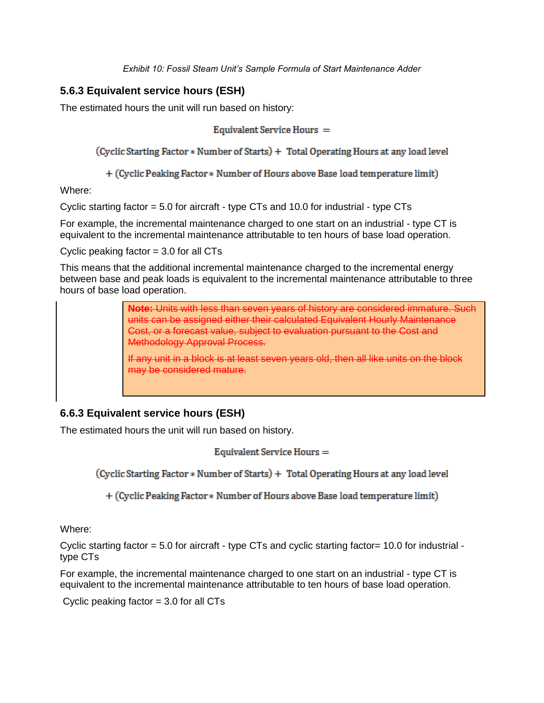### **5.6.3 Equivalent service hours (ESH)**

The estimated hours the unit will run based on history:

Equivalent Service Hours =

(Cyclic Starting Factor \* Number of Starts) + Total Operating Hours at any load level

+ (Cyclic Peaking Factor \* Number of Hours above Base load temperature limit)

Where:

Cyclic starting factor  $= 5.0$  for aircraft - type CTs and 10.0 for industrial - type CTs

For example, the incremental maintenance charged to one start on an industrial - type CT is equivalent to the incremental maintenance attributable to ten hours of base load operation.

Cyclic peaking factor  $= 3.0$  for all CTs

This means that the additional incremental maintenance charged to the incremental energy between base and peak loads is equivalent to the incremental maintenance attributable to three hours of base load operation.

> **Note:** Units with less than seven years of history are considered immature. Such units can be assigned either their calculated Equivalent Hourly Maintenance Cost, or a forecast value, subject to evaluation pursuant to the Cost and Methodology Approval Process.

If any unit in a block is at least seven years old, then all like units on the block may be considered mature.

## **6.6.3 Equivalent service hours (ESH)**

The estimated hours the unit will run based on history.

Equivalent Service Hours =

(Cyclic Starting Factor \* Number of Starts) + Total Operating Hours at any load level

+ (Cyclic Peaking Factor \* Number of Hours above Base load temperature limit)

Where:

Cyclic starting factor  $= 5.0$  for aircraft - type CTs and cyclic starting factor= 10.0 for industrial type CTs

For example, the incremental maintenance charged to one start on an industrial - type CT is equivalent to the incremental maintenance attributable to ten hours of base load operation.

Cyclic peaking factor  $= 3.0$  for all CTs